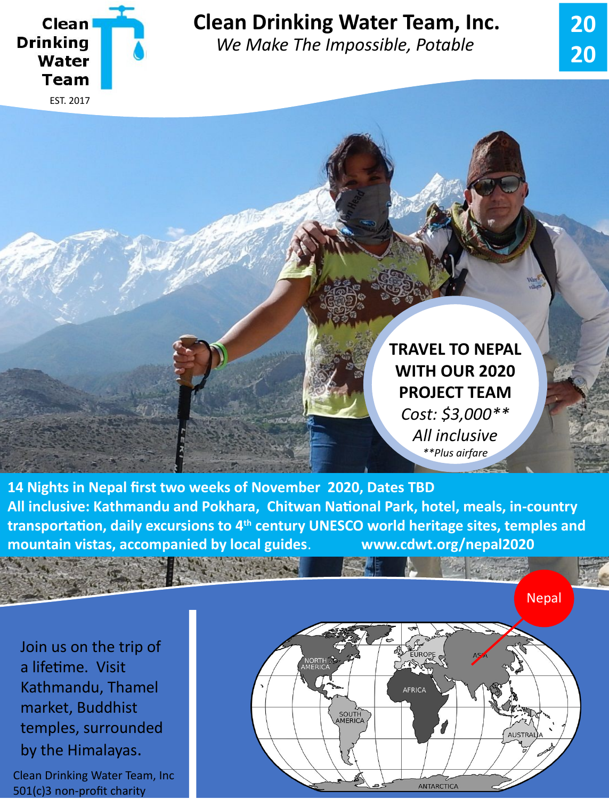

## **Clean Drinking Water Team, Inc.**

*We Make The Impossible, Potable*



**14 Nights in Nepal first two weeks of November 2020, Dates TBD All inclusive: Kathmandu and Pokhara, Chitwan National Park, hotel, meals, in-country transportation, daily excursions to 4th century UNESCO world heritage sites, temples and mountain vistas, accompanied by local guides**. **www.cdwt.org/nepal2020**

Join us on the trip of a lifetime. Visit Kathmandu, Thamel market, Buddhist temples, surrounded by the Himalayas.

Clean Drinking Water Team, Inc 501(c)3 non-profit charity